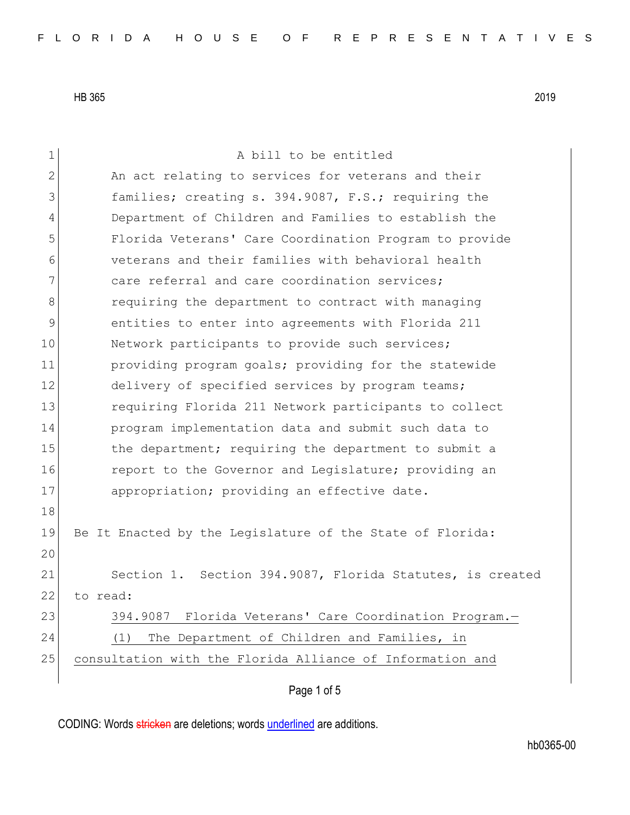1 a bill to be entitled 2 An act relating to services for veterans and their 3 families; creating s. 394.9087, F.S.; requiring the 4 Department of Children and Families to establish the 5 Florida Veterans' Care Coordination Program to provide 6 veterans and their families with behavioral health 7 care referral and care coordination services; 8 8 requiring the department to contract with managing 9 9 entities to enter into agreements with Florida 211 10 Network participants to provide such services; 11 providing program goals; providing for the statewide 12 delivery of specified services by program teams; 13 requiring Florida 211 Network participants to collect 14 program implementation data and submit such data to 15 the department; requiring the department to submit a 16 **report to the Governor and Legislature;** providing an 17 appropriation; providing an effective date. 18 19 Be It Enacted by the Legislature of the State of Florida: 20 21 Section 1. Section 394.9087, Florida Statutes, is created 22 to read: 23 394.9087 Florida Veterans' Care Coordination Program. 24 (1) The Department of Children and Families, in 25 consultation with the Florida Alliance of Information and

Page 1 of 5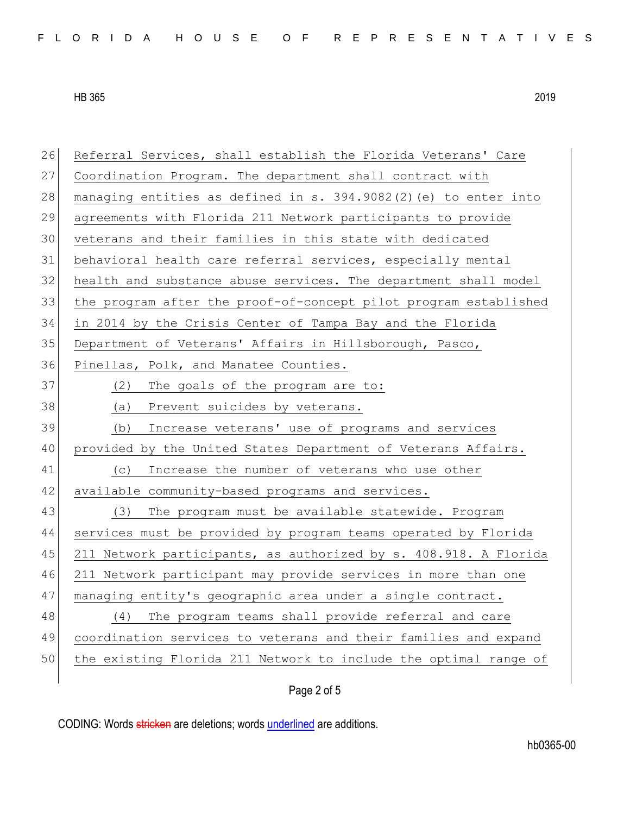| 26 | Referral Services, shall establish the Florida Veterans' Care    |
|----|------------------------------------------------------------------|
| 27 | Coordination Program. The department shall contract with         |
| 28 | managing entities as defined in s. 394.9082(2) (e) to enter into |
| 29 | agreements with Florida 211 Network participants to provide      |
| 30 | veterans and their families in this state with dedicated         |
| 31 | behavioral health care referral services, especially mental      |
| 32 | health and substance abuse services. The department shall model  |
| 33 | the program after the proof-of-concept pilot program established |
| 34 | in 2014 by the Crisis Center of Tampa Bay and the Florida        |
| 35 | Department of Veterans' Affairs in Hillsborough, Pasco,          |
| 36 | Pinellas, Polk, and Manatee Counties.                            |
| 37 | The goals of the program are to:<br>(2)                          |
| 38 | Prevent suicides by veterans.<br>(a)                             |
| 39 | Increase veterans' use of programs and services<br>(b)           |
| 40 | provided by the United States Department of Veterans Affairs.    |
| 41 | Increase the number of veterans who use other<br>(C)             |
| 42 | available community-based programs and services.                 |
| 43 | The program must be available statewide. Program<br>(3)          |
| 44 | services must be provided by program teams operated by Florida   |
| 45 | 211 Network participants, as authorized by s. 408.918. A Florida |
| 46 | 211 Network participant may provide services in more than one    |
| 47 | managing entity's geographic area under a single contract.       |
| 48 | The program teams shall provide referral and care<br>(4)         |
| 49 | coordination services to veterans and their families and expand  |
| 50 | the existing Florida 211 Network to include the optimal range of |
|    |                                                                  |

Page 2 of 5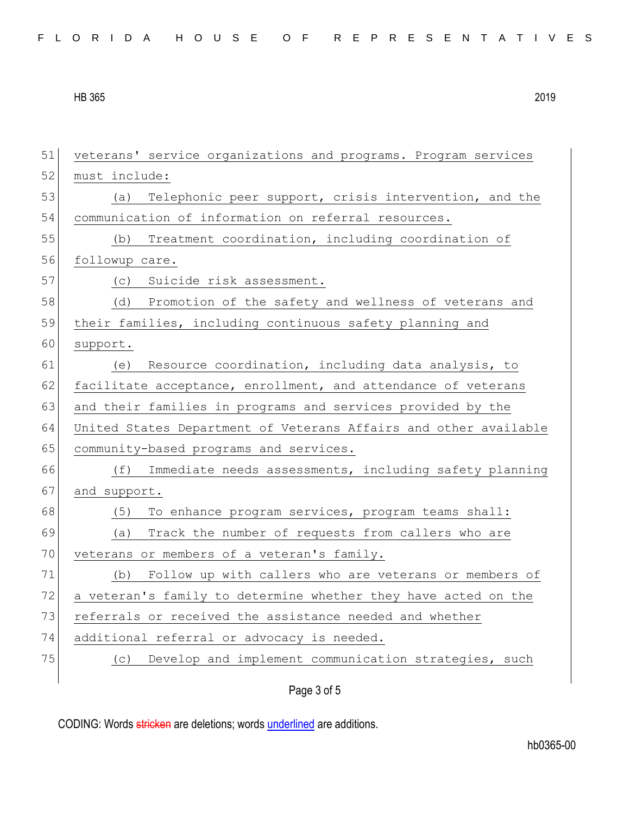51 veterans' service organizations and programs. Program services 52 must include: 53 (a) Telephonic peer support, crisis intervention, and the 54 communication of information on referral resources. 55 (b) Treatment coordination, including coordination of 56 followup care. 57 (c) Suicide risk assessment. 58 (d) Promotion of the safety and wellness of veterans and 59 their families, including continuous safety planning and 60 support. 61 (e) Resource coordination, including data analysis, to 62 facilitate acceptance, enrollment, and attendance of veterans 63 and their families in programs and services provided by the 64 United States Department of Veterans Affairs and other available 65 community-based programs and services. 66 (f) Immediate needs assessments, including safety planning 67 and support. 68 (5) To enhance program services, program teams shall: 69 (a) Track the number of requests from callers who are 70 veterans or members of a veteran's family. 71 (b) Follow up with callers who are veterans or members of 72 a veteran's family to determine whether they have acted on the 73 referrals or received the assistance needed and whether 74 additional referral or advocacy is needed. 75 (c) Develop and implement communication strategies, such

Page 3 of 5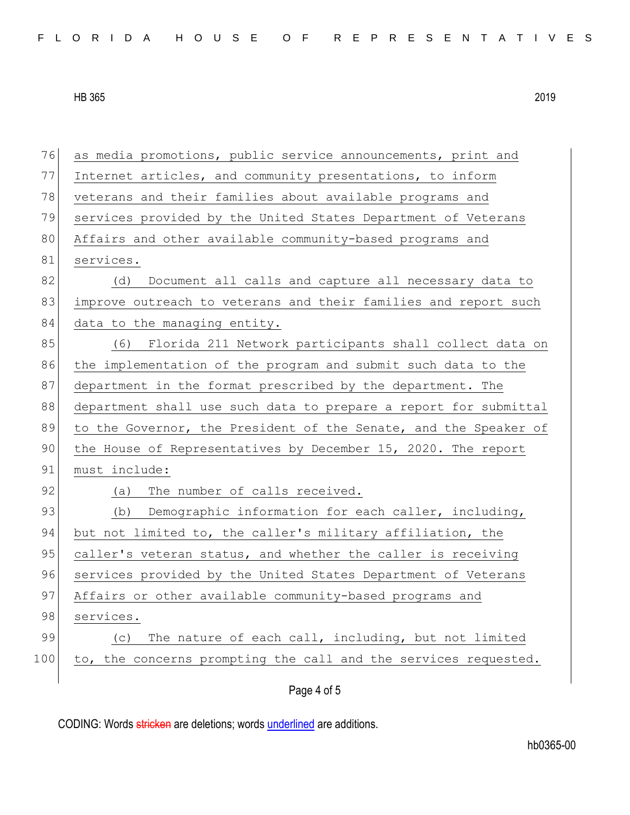76 as media promotions, public service announcements, print and 77 Internet articles, and community presentations, to inform 78 veterans and their families about available programs and 79 services provided by the United States Department of Veterans 80 Affairs and other available community-based programs and 81 services. 82 (d) Document all calls and capture all necessary data to 83 improve outreach to veterans and their families and report such 84 data to the managing entity. 85 (6) Florida 211 Network participants shall collect data on 86 the implementation of the program and submit such data to the 87 department in the format prescribed by the department. The 88 department shall use such data to prepare a report for submittal 89 to the Governor, the President of the Senate, and the Speaker of 90 the House of Representatives by December 15, 2020. The report 91 must include: 92 (a) The number of calls received. 93 (b) Demographic information for each caller, including, 94 but not limited to, the caller's military affiliation, the 95 caller's veteran status, and whether the caller is receiving 96 services provided by the United States Department of Veterans 97 Affairs or other available community-based programs and 98 services. 99 (c) The nature of each call, including, but not limited 100 to, the concerns prompting the call and the services requested.

Page 4 of 5